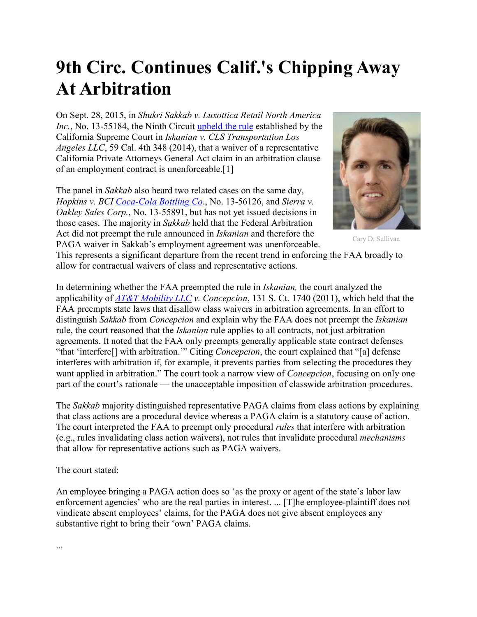## **9th Circ. Continues Calif.'s Chipping Away At Arbitration**

On Sept. 28, 2015, in *Shukri Sakkab v. Luxottica Retail North America Inc.*, No. 13-55184, the Ninth Circuit [upheld the rule](http://www.law360.com/articles/708167/9th-circ-upholds-calif-high-court-s-iskanian-paga-rule) established by the California Supreme Court in *Iskanian v. CLS Transportation Los Angeles LLC*, 59 Cal. 4th 348 (2014), that a waiver of a representative California Private Attorneys General Act claim in an arbitration clause of an employment contract is unenforceable.[1]

The panel in *Sakkab* also heard two related cases on the same day, *Hopkins v. BCI [Coca-Cola Bottling Co.](http://www.law360.com/companies/coca-cola-bottling-co-consolidated)*, No. 13-56126, and *Sierra v. Oakley Sales Corp.*, No. 13-55891, but has not yet issued decisions in those cases. The majority in *Sakkab* held that the Federal Arbitration Act did not preempt the rule announced in *Iskanian* and therefore the PAGA waiver in Sakkab's employment agreement was unenforceable.



Cary D. Sullivan

This represents a significant departure from the recent trend in enforcing the FAA broadly to allow for contractual waivers of class and representative actions.

In determining whether the FAA preempted the rule in *Iskanian,* the court analyzed the applicability of *[AT&T Mobility LLC](http://www.law360.com/companies/at-t-inc) v. Concepcion*, 131 S. Ct. 1740 (2011), which held that the FAA preempts state laws that disallow class waivers in arbitration agreements. In an effort to distinguish *Sakkab* from *Concepcion* and explain why the FAA does not preempt the *Iskanian*  rule, the court reasoned that the *Iskanian* rule applies to all contracts, not just arbitration agreements. It noted that the FAA only preempts generally applicable state contract defenses "that 'interfere[] with arbitration.'" Citing *Concepcion*, the court explained that "[a] defense interferes with arbitration if, for example, it prevents parties from selecting the procedures they want applied in arbitration." The court took a narrow view of *Concepcion*, focusing on only one part of the court's rationale — the unacceptable imposition of classwide arbitration procedures.

The *Sakkab* majority distinguished representative PAGA claims from class actions by explaining that class actions are a procedural device whereas a PAGA claim is a statutory cause of action. The court interpreted the FAA to preempt only procedural *rules* that interfere with arbitration (e.g., rules invalidating class action waivers), not rules that invalidate procedural *mechanisms* that allow for representative actions such as PAGA waivers.

The court stated:

An employee bringing a PAGA action does so 'as the proxy or agent of the state's labor law enforcement agencies' who are the real parties in interest. ... [T]he employee-plaintiff does not vindicate absent employees' claims, for the PAGA does not give absent employees any substantive right to bring their 'own' PAGA claims.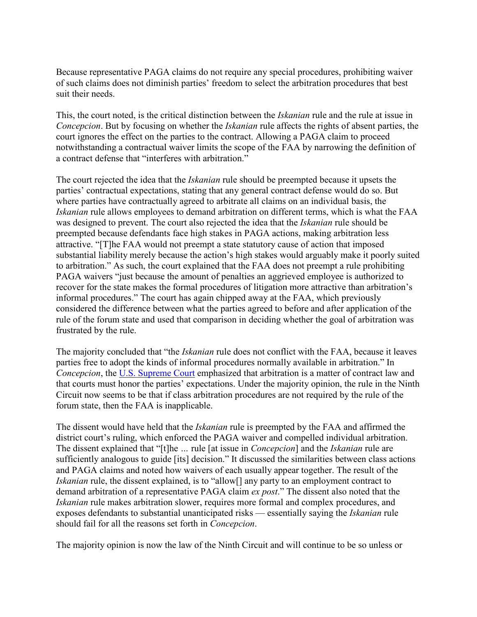Because representative PAGA claims do not require any special procedures, prohibiting waiver of such claims does not diminish parties' freedom to select the arbitration procedures that best suit their needs.

This, the court noted, is the critical distinction between the *Iskanian* rule and the rule at issue in *Concepcion*. But by focusing on whether the *Iskanian* rule affects the rights of absent parties, the court ignores the effect on the parties to the contract. Allowing a PAGA claim to proceed notwithstanding a contractual waiver limits the scope of the FAA by narrowing the definition of a contract defense that "interferes with arbitration."

The court rejected the idea that the *Iskanian* rule should be preempted because it upsets the parties' contractual expectations, stating that any general contract defense would do so. But where parties have contractually agreed to arbitrate all claims on an individual basis, the *Iskanian* rule allows employees to demand arbitration on different terms, which is what the FAA was designed to prevent. The court also rejected the idea that the *Iskanian* rule should be preempted because defendants face high stakes in PAGA actions, making arbitration less attractive. "[T]he FAA would not preempt a state statutory cause of action that imposed substantial liability merely because the action's high stakes would arguably make it poorly suited to arbitration." As such, the court explained that the FAA does not preempt a rule prohibiting PAGA waivers "just because the amount of penalties an aggrieved employee is authorized to recover for the state makes the formal procedures of litigation more attractive than arbitration's informal procedures." The court has again chipped away at the FAA, which previously considered the difference between what the parties agreed to before and after application of the rule of the forum state and used that comparison in deciding whether the goal of arbitration was frustrated by the rule.

The majority concluded that "the *Iskanian* rule does not conflict with the FAA, because it leaves parties free to adopt the kinds of informal procedures normally available in arbitration." In *Concepcion*, the [U.S. Supreme Court](http://www.law360.com/agencies/u-s-supreme-court) emphasized that arbitration is a matter of contract law and that courts must honor the parties' expectations. Under the majority opinion, the rule in the Ninth Circuit now seems to be that if class arbitration procedures are not required by the rule of the forum state, then the FAA is inapplicable.

The dissent would have held that the *Iskanian* rule is preempted by the FAA and affirmed the district court's ruling, which enforced the PAGA waiver and compelled individual arbitration. The dissent explained that "[t]he *…* rule [at issue in *Concepcion*] and the *Iskanian* rule are sufficiently analogous to guide [its] decision." It discussed the similarities between class actions and PAGA claims and noted how waivers of each usually appear together. The result of the *Iskanian* rule, the dissent explained, is to "allow[] any party to an employment contract to demand arbitration of a representative PAGA claim *ex post*." The dissent also noted that the *Iskanian* rule makes arbitration slower, requires more formal and complex procedures, and exposes defendants to substantial unanticipated risks — essentially saying the *Iskanian* rule should fail for all the reasons set forth in *Concepcion*.

The majority opinion is now the law of the Ninth Circuit and will continue to be so unless or